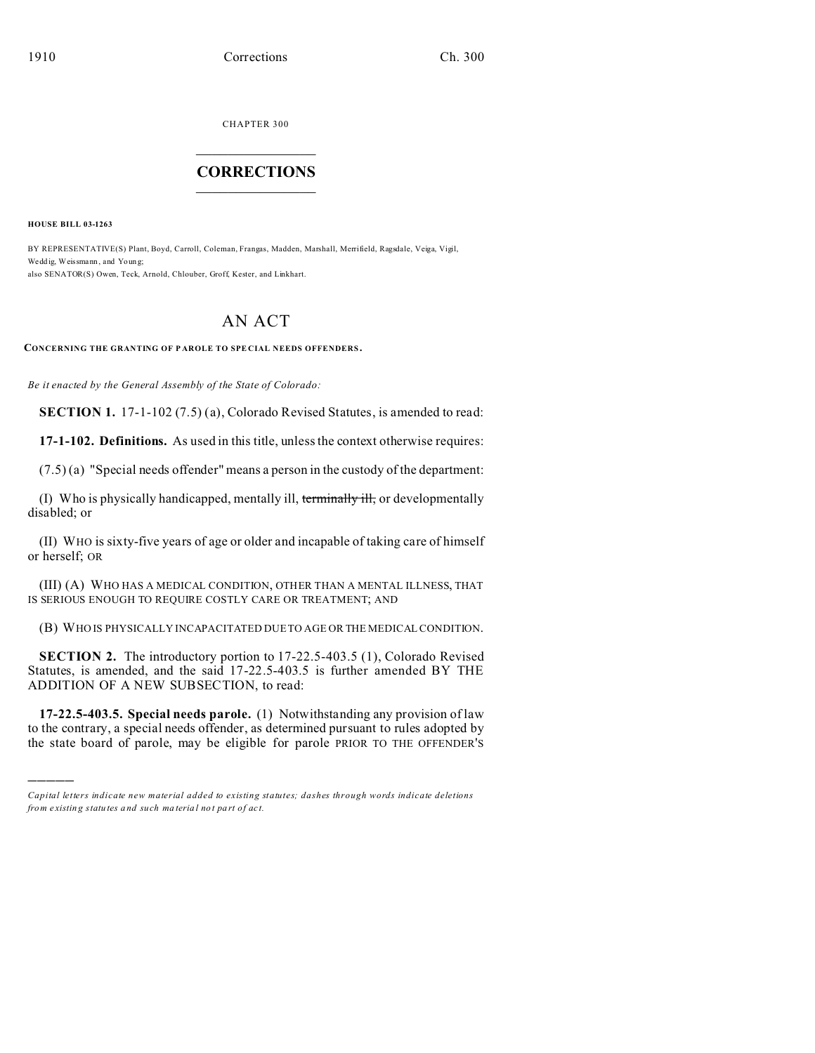CHAPTER 300  $\overline{\phantom{a}}$  , where  $\overline{\phantom{a}}$ 

## **CORRECTIONS**  $\frac{1}{2}$  ,  $\frac{1}{2}$  ,  $\frac{1}{2}$  ,  $\frac{1}{2}$  ,  $\frac{1}{2}$  ,  $\frac{1}{2}$

**HOUSE BILL 03-1263**

)))))

BY REPRESENTATIVE(S) Plant, Boyd, Carroll, Coleman, Frangas, Madden, Marshall, Merrifield, Ragsdale, Veiga, Vigil, Wedd ig, Weissmann , and Youn g; also SENATOR(S) Owen, Teck, Arnold, Chlouber, Groff, Kester, and Linkhart.

## AN ACT

**CONCERNING THE GRANTING OF P AROLE TO SPE CIAL NEEDS OFFENDERS .**

*Be it enacted by the General Assembly of the State of Colorado:*

**SECTION 1.** 17-1-102 (7.5) (a), Colorado Revised Statutes, is amended to read:

**17-1-102. Definitions.** As used in this title, unless the context otherwise requires:

(7.5) (a) "Special needs offender" means a person in the custody of the department:

(I) Who is physically handicapped, mentally ill, terminally ill, or developmentally disabled; or

(II) WHO is sixty-five years of age or older and incapable of taking care of himself or herself; OR

(III) (A) WHO HAS A MEDICAL CONDITION, OTHER THAN A MENTAL ILLNESS, THAT IS SERIOUS ENOUGH TO REQUIRE COSTLY CARE OR TREATMENT; AND

(B) WHO IS PHYSICALLY INCAPACITATED DUE TO AGE OR THE MEDICAL CONDITION.

**SECTION 2.** The introductory portion to 17-22.5-403.5 (1), Colorado Revised Statutes, is amended, and the said 17-22.5-403.5 is further amended BY THE ADDITION OF A NEW SUBSECTION, to read:

**17-22.5-403.5. Special needs parole.** (1) Notwithstanding any provision of law to the contrary, a special needs offender, as determined pursuant to rules adopted by the state board of parole, may be eligible for parole PRIOR TO THE OFFENDER'S

*Capital letters indicate new material added to existing statutes; dashes through words indicate deletions from e xistin g statu tes a nd such ma teria l no t pa rt of ac t.*